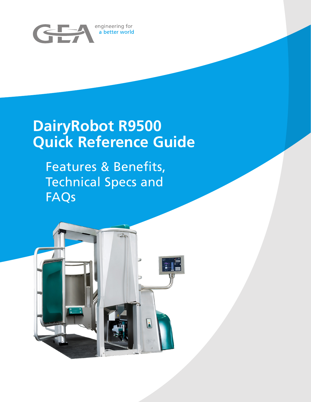

## **DairyRobot R9500 Quick Reference Guide**

Features & Benefits, Technical Specs and FAQs

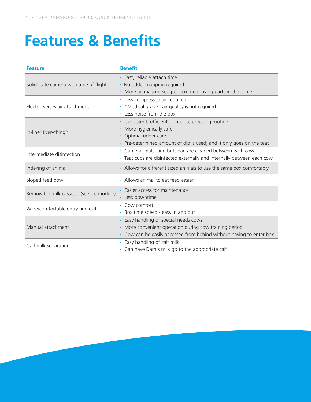## **Features & Benefits**

| <b>Feature</b>                           | <b>Benefit</b>                                                                                                                                                                 |
|------------------------------------------|--------------------------------------------------------------------------------------------------------------------------------------------------------------------------------|
| Solid state camera with time of flight   | · Fast, reliable attach time<br>· No udder mapping required<br>• More animals milked per box, no moving parts in the camera                                                    |
| Electric verses air attachment           | • Less compressed air required<br>• "Medical grade" air quality is not required<br>• Less noise from the box                                                                   |
| In-liner Everything™                     | • Consistent, efficient, complete prepping routine<br>• More hygienically safe<br>• Optimal udder care<br>• Pre-determined amount of dip is used; and it only goes on the teat |
| Intermediate disinfection                | • Camera, mats, and butt pan are cleaned between each cow<br>• Teat cups are disinfected externally and internally between each cow                                            |
| Indexing of animal                       | • Allows for different sized animals to use the same box comfortably                                                                                                           |
| Sloped feed bowl                         | • Allows animal to eat feed easier                                                                                                                                             |
| Removable milk cassette (service module) | • Easier access for maintenance<br>• Less downtime                                                                                                                             |
| Wide/comfortable entry and exit          | • Cow comfort<br>• Box time speed - easy in and out                                                                                                                            |
| Manual attachment                        | • Easy handling of special needs cows<br>• More convenient operation during cow training period<br>• Cow can be easily accessed from behind without having to enter box        |
| Calf milk separation                     | • Easy handling of calf milk<br>• Can have Dam's milk go to the appropriate calf                                                                                               |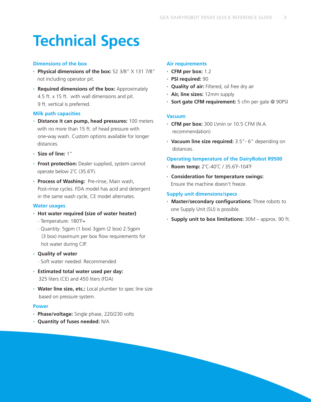## **Technical Specs**

#### **Dimensions of the box**

- **Physical dimensions of the box:** 52 3/8" X 131 7/8" not including operator pit.
- **Required dimensions of the box:** Approximately 4.5 ft. x 15 ft. with wall dimensions and pit. 9 ft. vertical is preferred.

#### **Milk path capacities**

- **Distance it can pump, head pressures:** 100 meters with no more than 15 ft. of head pressure with one-way wash. Custom options available for longer distances.
- **Size of line:** 1"
- **Frost protection:** Dealer supplied, system cannot operate below 2˚C (35.6˚F).
- **Process of Washing:** Pre-rinse, Main wash, Post-rinse cycles. FDA model has acid and detergent in the same wash cycle, CE model alternates.

#### **Water usages**

- **Hot water required (size of water heater)**
	- Temperature: 180˚F+
	- Quantity: 5gpm (1 box) 3gpm (2 box) 2.5gpm (3 box) maximum per box flow requirements for hot water during CIP.
- **Quality of water**
	- Soft water needed: Recommended
- **Estimated total water used per day:** 325 liters (CE) and 450 liters (FDA)
- **Water line size, etc.:** Local plumber to spec line size based on pressure system.

#### **Power**

- **Phase/voltage:** Single phase, 220/230 volts
- **Quantity of fuses needed:** N/A

#### **Air requirements**

- **CFM per box:** 1.2
- **PSI required:** 90
- **Quality of air:** Filtered, oil free dry air
- **Air, line sizes:** 12mm supply
- **Sort gate CFM requirement:** 5 cfm per gate @ 90PSI

#### **Vacuum**

- **CFM per box:** 300 L\min or 10.5 CFM (N.A. recommendation)
- **Vacuum line size required:** 3.5"- 6" depending on distances.

#### **Operating temperature of the DairyRobot R9500**

- **Room temp:** 2˚C-40˚C / 35.6˚F-104˚F
- **Consideration for temperature swings:** Ensure the machine doesn't freeze.

#### **Supply unit dimensions/specs**

- **Master/secondary configurations:** Three robots to one Supply Unit (SU) is possible.
- **Supply unit to box limitations:** 30M approx. 90 ft.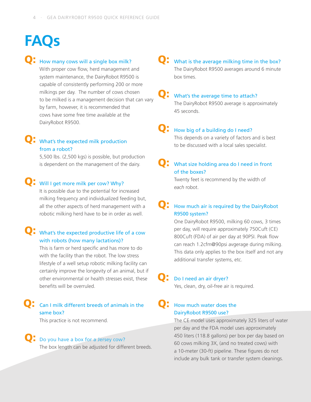## Q: How many cows will a single box milk?

With proper cow flow, herd management and system maintenance, the DairyRobot R9500 is capable of consistently performing 200 or more milkings per day. The number of cows chosen to be milked is a management decision that can vary by farm, however, it is recommended that cows have some free time available at the DairyRobot R9500.

### Q: What's the expected milk production from a robot?

5,500 lbs. (2,500 kgs) is possible, but production is dependent on the management of the dairy.

## **Q**: Will I get more milk per cow? Why?

It is possible due to the potential for increased milking frequency and individualized feeding but, all the other aspects of herd management with a robotic milking herd have to be in order as well.

### Q: What's the expected productive life of a cow with robots (how many lactations)?

This is farm or herd specific and has more to do with the facility than the robot. The low stress lifestyle of a well setup robotic milking facility can certainly improve the longevity of an animal, but if other environmental or health stresses exist, these benefits will be overruled.

#### Can I milk different breeds of animals in the same box? Q:

This practice is not recommend.

## Q: Do you have a box for a Jersey cow?

The box length can be adjusted for different breeds.

#### What is the average milking time in the box? The DairyRobot R9500 averages around 6 minute box times. Q:

#### What's the average time to attach? Q:

The DairyRobot R9500 average is approximately 45 seconds.

#### How big of a building do I need? Q:

This depends on a variety of factors and is best to be discussed with a local sales specialist.

#### What size holding area do I need in front of the boxes? Q:

Twenty feet is recommend by the width of *each* robot.

#### How much air is required by the DairyRobot R9500 system? Q:

One DairyRobot R9500, milking 60 cows, 3 times per day, will require approximately 750Cuft (CE) 800Cuft (FDA) of air per day at 90PSI. Peak flow can reach 1.2cfm@90psi avgerage during milking. This data only applies to the box itself and not any additional transfer systems, etc.

#### Do I need an air dryer? Q:

Yes, clean, dry, oil-free air is required.

#### How much water does the DairyRobot R9500 use? Q:

The CE model uses approximately 325 liters of water per day and the FDA model uses approximately 450 liters (118.8 gallons) per box per day based on 60 cows milking 3X, (and no treated cows) with a 10-meter (30-ft) pipeline. These figures do not include any bulk tank or transfer system cleanings.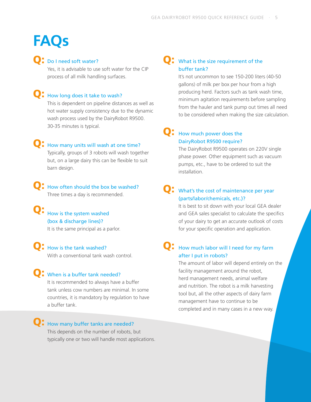## Q: Do I need soft water?

Yes, it is advisable to use soft water for the CIP process of all milk handling surfaces.

## Q: How long does it take to wash?

This is dependent on pipeline distances as well as hot water supply consistency due to the dynamic wash process used by the DairyRobot R9500. 30-35 minutes is typical.

### **Q**: How many units will wash at one time? Typically, groups of 3 robots will wash together

but, on a large dairy this can be flexible to suit barn design.

**Q**: How often should the box be washed? Three times a day is recommended.

### **Q:** How is the system washed (box & discharge lines)?

It is the same principal as a parlor.

**Q**: How is the tank washed? With a conventional tank wash control.

## **Q**: When is a buffer tank needed?

It is recommended to always have a buffer tank unless cow numbers are minimal. In some countries, it is mandatory by regulation to have a buffer tank.

## **Q:** How many buffer tanks are needed?

This depends on the number of robots, but typically one or two will handle most applications.

### **Q**: What is the size requirement of the buffer tank?

It's not uncommon to see 150-200 liters (40-50 gallons) of milk per box per hour from a high producing herd. Factors such as tank wash time, minimum agitation requirements before sampling from the hauler and tank pump out times all need to be considered when making the size calculation.

### Q: How much power does the DairyRobot R9500 require?

The DairyRobot R9500 operates on 220V single phase power. Other equipment such as vacuum pumps, etc., have to be ordered to suit the installation.

### Q: What's the cost of maintenance per year (parts/labor/chemicals, etc.)?

It is best to sit down with your local GEA dealer and GEA sales specialist to calculate the specifics of your dairy to get an accurate outlook of costs for your specific operation and application.

### **Q**: How much labor will I need for my farm after I put in robots?

The amount of labor will depend entirely on the facility management around the robot, herd management needs, animal welfare and nutrition. The robot is a milk harvesting tool but, all the other aspects of dairy farm management have to continue to be completed and in many cases in a new way.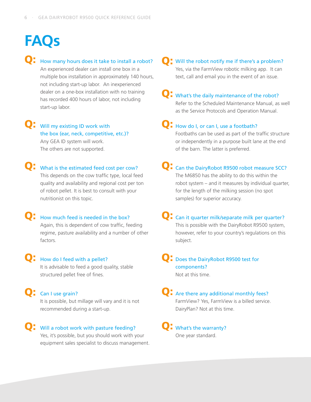## Q: How many hours does it take to install a robot? Q:

An experienced dealer can install one box in a multiple box installation in approximately 140 hours, not including start-up labor. An inexperienced dealer on a one-box installation with no training has recorded 400 hours of labor, not including start-up labor.

Q: Will my existing ID work with the box (ear, neck, competitive, etc.)? Any GEA ID system will work. The others are not supported.

Q: What is the estimated feed cost per cow? This depends on the cow traffic type, local feed quality and availability and regional cost per ton of robot pellet. It is best to consult with your nutritionist on this topic.

**Q**: How much feed is needed in the box? Again, this is dependent of cow traffic, feeding regime, pasture availability and a number of other factors.

## Q: How do I feed with a pellet?

It is advisable to feed a good quality, stable structured pellet free of fines.

Q: Can I use grain?

It is possible, but millage will vary and it is not recommended during a start-up.

Q: Will a robot work with pasture feeding? Q: Yes, it's possible, but you should work with your equipment sales specialist to discuss management.

#### **O**: Will the robot notify me if there's a problem? Yes, via the FarmView robotic milking app. It can text, call and email you in the event of an issue.

## Q: What's the daily maintenance of the robot?

Refer to the Scheduled Maintenance Manual, as well as the Service Protocols and Operation Manual.

## Q: How do I, or can I, use a footbath?

Footbaths can be used as part of the traffic structure or independently in a purpose built lane at the end of the barn. The latter is preferred.

Q: Can the DairyRobot R9500 robot measure SCC? The M6850 has the ability to do this within the robot system – and it measures by individual quarter, for the length of the milking session (no spot samples) for superior accuracy.

Q: Can it quarter milk/separate milk per quarter? This is possible with the DairyRobot R9500 system, however, refer to your country's regulations on this subject.

#### Q: Does the DairyRobot R9500 test for components? Not at this time.

## Q: Are there any additional monthly fees? FarmView? Yes, FarmView is a billed service.

DairyPlan? Not at this time.

#### **Q**: What's the warranty? One year standard.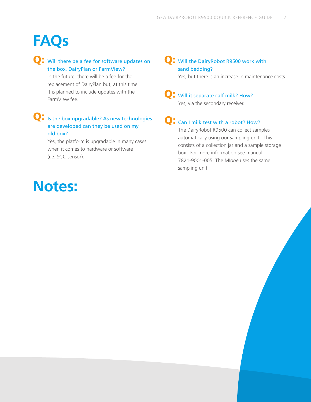### Q: Will there be a fee for software updates on the box, DairyPlan or FarmView?

In the future, there will be a fee for the replacement of DairyPlan but, at this time it is planned to include updates with the FarmView fee.

#### Q: Is the box upgradable? As new technologies are developed can they be used on my old box?

Yes, the platform is upgradable in many cases when it comes to hardware or software (i.e. SCC sensor).

## **Notes:**

### **Q**: Will the DairyRobot R9500 work with sand bedding?

Yes, but there is an increase in maintenance costs.

Q: Will it separate calf milk? How? Yes, via the secondary receiver.

## **Q**: Can I milk test with a robot? How?

The DairyRobot R9500 can collect samples automatically using our sampling unit. This consists of a collection jar and a sample storage box. For more information see manual 7821-9001-005. The MI*one* uses the same sampling unit.